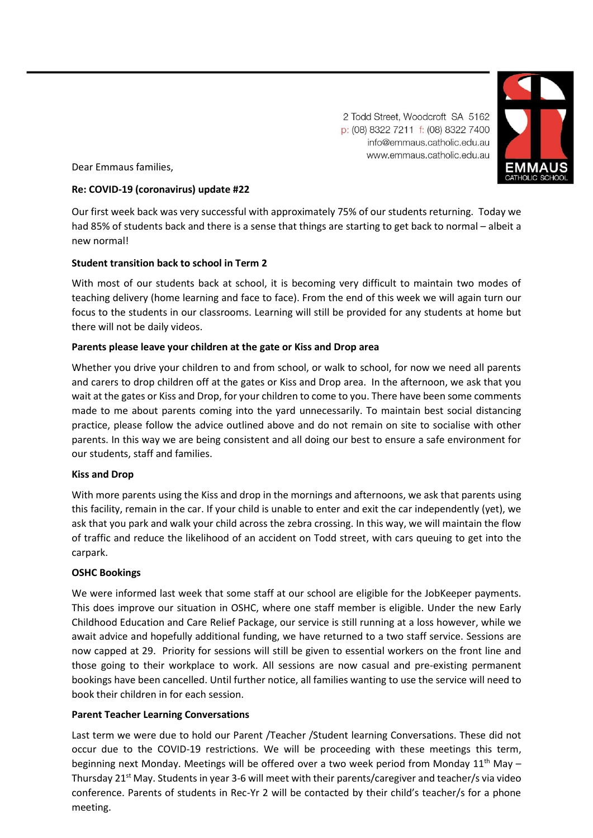2 Todd Street, Woodcroft SA 5162 p: (08) 8322 7211 f: (08) 8322 7400 info@emmaus.catholic.edu.au www.emmaus.catholic.edu.au



Dear Emmaus families,

# **Re: COVID-19 (coronavirus) update #22**

Our first week back was very successful with approximately 75% of our students returning. Today we had 85% of students back and there is a sense that things are starting to get back to normal – albeit a new normal!

# **Student transition back to school in Term 2**

With most of our students back at school, it is becoming very difficult to maintain two modes of teaching delivery (home learning and face to face). From the end of this week we will again turn our focus to the students in our classrooms. Learning will still be provided for any students at home but there will not be daily videos.

### **Parents please leave your children at the gate or Kiss and Drop area**

Whether you drive your children to and from school, or walk to school, for now we need all parents and carers to drop children off at the gates or Kiss and Drop area. In the afternoon, we ask that you wait at the gates or Kiss and Drop, for your children to come to you. There have been some comments made to me about parents coming into the yard unnecessarily. To maintain best social distancing practice, please follow the advice outlined above and do not remain on site to socialise with other parents. In this way we are being consistent and all doing our best to ensure a safe environment for our students, staff and families.

#### **Kiss and Drop**

With more parents using the Kiss and drop in the mornings and afternoons, we ask that parents using this facility, remain in the car. If your child is unable to enter and exit the car independently (yet), we ask that you park and walk your child across the zebra crossing. In this way, we will maintain the flow of traffic and reduce the likelihood of an accident on Todd street, with cars queuing to get into the carpark.

#### **OSHC Bookings**

We were informed last week that some staff at our school are eligible for the JobKeeper payments. This does improve our situation in OSHC, where one staff member is eligible. Under the new Early Childhood Education and Care Relief Package, our service is still running at a loss however, while we await advice and hopefully additional funding, we have returned to a two staff service. Sessions are now capped at 29. Priority for sessions will still be given to essential workers on the front line and those going to their workplace to work. All sessions are now casual and pre-existing permanent bookings have been cancelled. Until further notice, all families wanting to use the service will need to book their children in for each session.

# **Parent Teacher Learning Conversations**

Last term we were due to hold our Parent /Teacher /Student learning Conversations. These did not occur due to the COVID-19 restrictions. We will be proceeding with these meetings this term, beginning next Monday. Meetings will be offered over a two week period from Monday 11<sup>th</sup> May -Thursday 21<sup>st</sup> May. Students in year 3-6 will meet with their parents/caregiver and teacher/s via video conference. Parents of students in Rec-Yr 2 will be contacted by their child's teacher/s for a phone meeting.